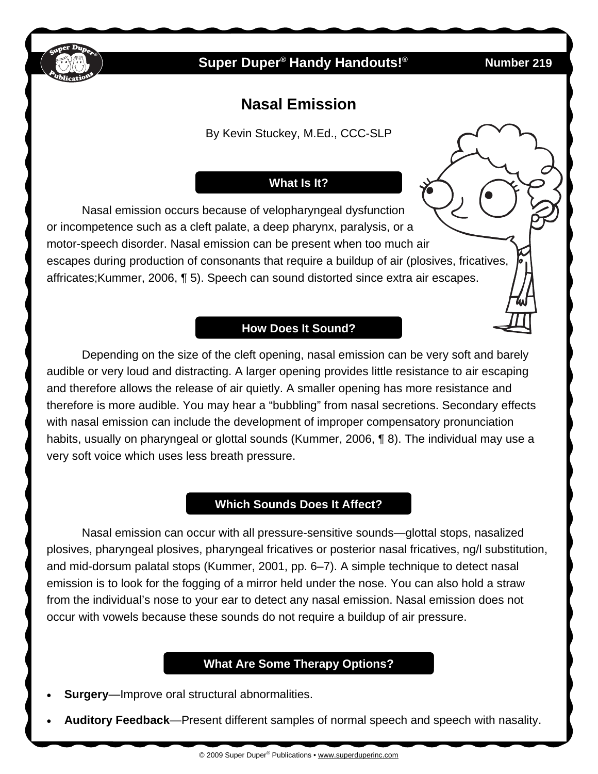

## **Super Duper<sup>®</sup> Handy Handouts!<sup>®</sup>**

**219** 

# **Nasal Emission**

By Kevin Stuckey, M.Ed., CCC-SLP

#### **What Is It?**

Nasal emission occurs because of velopharyngeal dysfunction or incompetence such as a cleft palate, a deep pharynx, paralysis, or a motor-speech disorder. Nasal emission can be present when too much air escapes during production of consonants that require a buildup of air (plosives, fricatives, affricates;Kummer, 2006, ¶ 5). Speech can sound distorted since extra air escapes.

#### **How Does It Sound?**

Depending on the size of the cleft opening, nasal emission can be very soft and barely audible or very loud and distracting. A larger opening provides little resistance to air escaping and therefore allows the release of air quietly. A smaller opening has more resistance and therefore is more audible. You may hear a "bubbling" from nasal secretions. Secondary effects with nasal emission can include the development of improper compensatory pronunciation habits, usually on pharyngeal or glottal sounds (Kummer, 2006, ¶ 8). The individual may use a very soft voice which uses less breath pressure.

#### **Which Sounds Does It Affect?**

Nasal emission can occur with all pressure-sensitive sounds—glottal stops, nasalized plosives, pharyngeal plosives, pharyngeal fricatives or posterior nasal fricatives, ng/l substitution, and mid-dorsum palatal stops (Kummer, 2001, pp. 6–7). A simple technique to detect nasal emission is to look for the fogging of a mirror held under the nose. You can also hold a straw from the individual's nose to your ear to detect any nasal emission. Nasal emission does not occur with vowels because these sounds do not require a buildup of air pressure.

### **What Are Some Therapy Options?**

- **Surgery**—Improve oral structural abnormalities.
- **Auditory Feedback**—Present different samples of normal speech and speech with nasality.